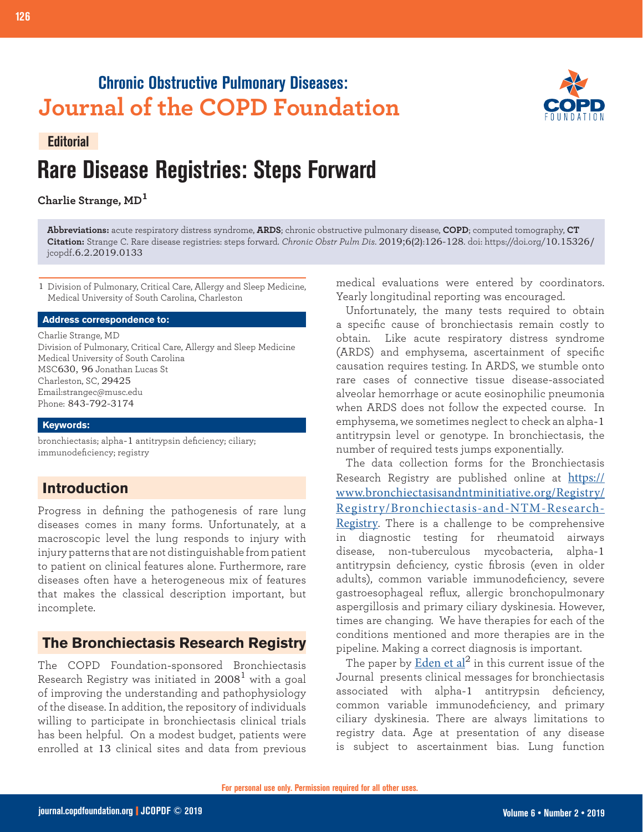## **Chronic Obstructive Pulmonary Diseases: Journal of the COPD Foundation**



#### **Editorial**

# **Rare Disease Registries: Steps Forward**

**Charlie Strange, MD<sup>1</sup>**

**Abbreviations:** acute respiratory distress syndrome, **ARDS**; chronic obstructive pulmonary disease, **COPD**; computed tomography, **CT Citation:** Strange C. Rare disease registries: steps forward. *Chronic Obstr Pulm Dis*. 2019;6(2):126-128. doi: https://doi.org/10.15326/ jcopdf.6.2.2019.0133

1 Division of Pulmonary, Critical Care, Allergy and Sleep Medicine, Medical University of South Carolina, Charleston

#### **Address correspondence to:**

Charlie Strange, MD Division of Pulmonary, Critical Care, Allergy and Sleep Medicine Medical University of South Carolina MSC630, 96 Jonathan Lucas St Charleston, SC, 29425 Email:strangec@musc.edu Phone: 843-792-3174

#### **Keywords:**

bronchiectasis; alpha-1 antitrypsin deficiency; ciliary; immunodeficiency; registry

## **Introduction**

Progress in defining the pathogenesis of rare lung diseases comes in many forms. Unfortunately, at a macroscopic level the lung responds to injury with injury patterns that are not distinguishable from patient to patient on clinical features alone. Furthermore, rare diseases often have a heterogeneous mix of features that makes the classical description important, but incomplete.

## **The Bronchiectasis Research Registry**

The COPD Foundation-sponsored Bronchiectasis Research Registry was initiated in  $2008<sup>1</sup>$  with a goal of improving the understanding and pathophysiology of the disease. In addition, the repository of individuals willing to participate in bronchiectasis clinical trials has been helpful. On a modest budget, patients were enrolled at 13 clinical sites and data from previous

medical evaluations were entered by coordinators. Yearly longitudinal reporting was encouraged.

Unfortunately, the many tests required to obtain a specific cause of bronchiectasis remain costly to obtain. Like acute respiratory distress syndrome (ARDS) and emphysema, ascertainment of specific causation requires testing. In ARDS, we stumble onto rare cases of connective tissue disease-associated alveolar hemorrhage or acute eosinophilic pneumonia when ARDS does not follow the expected course. In emphysema, we sometimes neglect to check an alpha-1 antitrypsin level or genotype. In bronchiectasis, the number of required tests jumps exponentially.

The data collection forms for the Bronchiectasis Research Registry are published online at [https://](https://www.bronchiectasisandntminitiative.org/Registry/Registry/Bronchiectasis-and-NTM-Research-Registry) [www.bronchiectasisandntminitiative.org/Registry/](https://www.bronchiectasisandntminitiative.org/Registry/Registry/Bronchiectasis-and-NTM-Research-Registry) [Registry/Bronchiectasis-and-NTM-Research-](https://www.bronchiectasisandntminitiative.org/Registry/Registry/Bronchiectasis-and-NTM-Research-Registry)[Registry](https://www.bronchiectasisandntminitiative.org/Registry/Registry/Bronchiectasis-and-NTM-Research-Registry). There is a challenge to be comprehensive in diagnostic testing for rheumatoid airways disease, non-tuberculous mycobacteria, alpha-1 antitrypsin deficiency, cystic fibrosis (even in older adults), common variable immunodeficiency, severe gastroesophageal reflux, allergic bronchopulmonary aspergillosis and primary ciliary dyskinesia. However, times are changing. We have therapies for each of the conditions mentioned and more therapies are in the pipeline. Making a correct diagnosis is important.

The paper by Eden et  $al^2$  in this current issue of the [Journal](https://journal.copdfoundation.org/jcopdf/id/1229/The-Clinical-Features-of-Bronchiectasis-Associated-with-Alpha-1-Antitrypsin-Deficiency-Common-Variable-Immunodeficiency-and-Primary-Ciliary-Dyskinesia-Results-from-the-US-Bronchiectasis-Research-Registry) presents clinical messages for bronchiectasis associated with alpha-1 antitrypsin deficiency, common variable immunodeficiency, and primary ciliary dyskinesia. There are always limitations to registry data. Age at presentation of any disease is subject to ascertainment bias. Lung function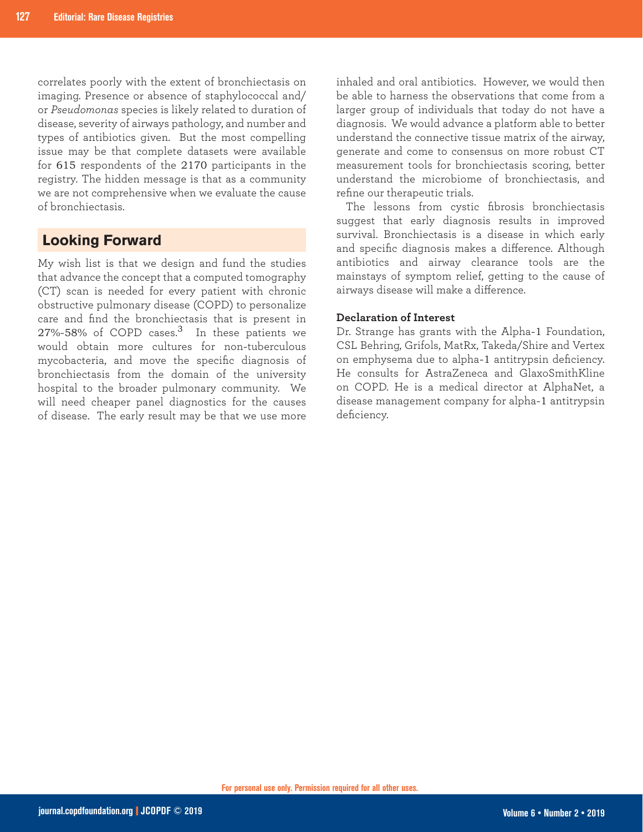correlates poorly with the extent of bronchiectasis on imaging. Presence or absence of staphylococcal and/ or *Pseudomonas* species is likely related to duration of disease, severity of airways pathology, and number and types of antibiotics given. But the most compelling issue may be that complete datasets were available for 615 respondents of the 2170 participants in the registry. The hidden message is that as a community we are not comprehensive when we evaluate the cause of bronchiectasis.

### **Looking Forward**

My wish list is that we design and fund the studies that advance the concept that a computed tomography (CT) scan is needed for every patient with chronic obstructive pulmonary disease (COPD) to personalize care and find the bronchiectasis that is present in 27%-58% of COPD cases.<sup>3</sup> In these patients we would obtain more cultures for non-tuberculous mycobacteria, and move the specific diagnosis of bronchiectasis from the domain of the university hospital to the broader pulmonary community. We will need cheaper panel diagnostics for the causes of disease. The early result may be that we use more

inhaled and oral antibiotics. However, we would then be able to harness the observations that come from a larger group of individuals that today do not have a diagnosis. We would advance a platform able to better understand the connective tissue matrix of the airway, generate and come to consensus on more robust CT measurement tools for bronchiectasis scoring, better understand the microbiome of bronchiectasis, and refine our therapeutic trials.

The lessons from cystic fibrosis bronchiectasis suggest that early diagnosis results in improved survival. Bronchiectasis is a disease in which early and specific diagnosis makes a difference. Although antibiotics and airway clearance tools are the mainstays of symptom relief, getting to the cause of airways disease will make a difference.

#### **Declaration of Interest**

Dr. Strange has grants with the Alpha-1 Foundation, CSL Behring, Grifols, MatRx, Takeda/Shire and Vertex on emphysema due to alpha-1 antitrypsin deficiency. He consults for AstraZeneca and GlaxoSmithKline on COPD. He is a medical director at AlphaNet, a disease management company for alpha-1 antitrypsin deficiency.